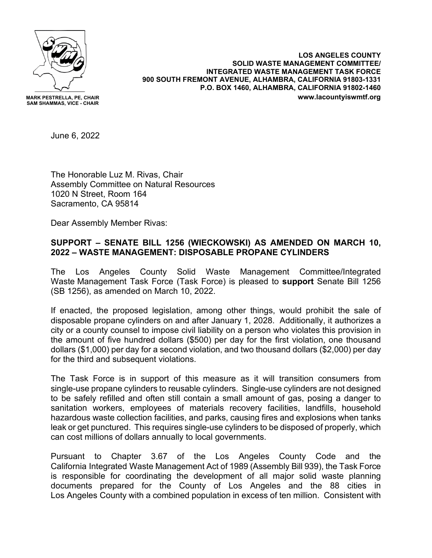

**MARK PESTRELLA, PE, CHAIR SAM SHAMMAS, VICE - CHAIR**

**LOS ANGELES COUNTY SOLID WASTE MANAGEMENT COMMITTEE/ INTEGRATED WASTE MANAGEMENT TASK FORCE 900 SOUTH FREMONT AVENUE, ALHAMBRA, CALIFORNIA 91803-1331 P.O. BOX 1460, ALHAMBRA, CALIFORNIA 91802-1460 www.lacountyiswmtf.org**

June 6, 2022

The Honorable Luz M. Rivas, Chair Assembly Committee on Natural Resources 1020 N Street, Room 164 Sacramento, CA 95814

Dear Assembly Member Rivas:

## **SUPPORT – SENATE BILL 1256 (WIECKOWSKI) AS AMENDED ON MARCH 10, 2022 – WASTE MANAGEMENT: DISPOSABLE PROPANE CYLINDERS**

The Los Angeles County Solid Waste Management Committee/Integrated Waste Management Task Force (Task Force) is pleased to **support** Senate Bill 1256 (SB 1256), as amended on March 10, 2022.

If enacted, the proposed legislation, among other things, would prohibit the sale of disposable propane cylinders on and after January 1, 2028. Additionally, it authorizes a city or a county counsel to impose civil liability on a person who violates this provision in the amount of five hundred dollars (\$500) per day for the first violation, one thousand dollars (\$1,000) per day for a second violation, and two thousand dollars (\$2,000) per day for the third and subsequent violations.

The Task Force is in support of this measure as it will transition consumers from single-use propane cylinders to reusable cylinders. Single-use cylinders are not designed to be safely refilled and often still contain a small amount of gas, posing a danger to sanitation workers, employees of materials recovery facilities, landfills, household hazardous waste collection facilities, and parks, causing fires and explosions when tanks leak or get punctured. This requires single-use cylinders to be disposed of properly, which can cost millions of dollars annually to local governments.

Pursuant to Chapter 3.67 of the Los Angeles County Code and the California Integrated Waste Management Act of 1989 (Assembly Bill 939), the Task Force is responsible for coordinating the development of all major solid waste planning documents prepared for the County of Los Angeles and the 88 cities in Los Angeles County with a combined population in excess of ten million. Consistent with